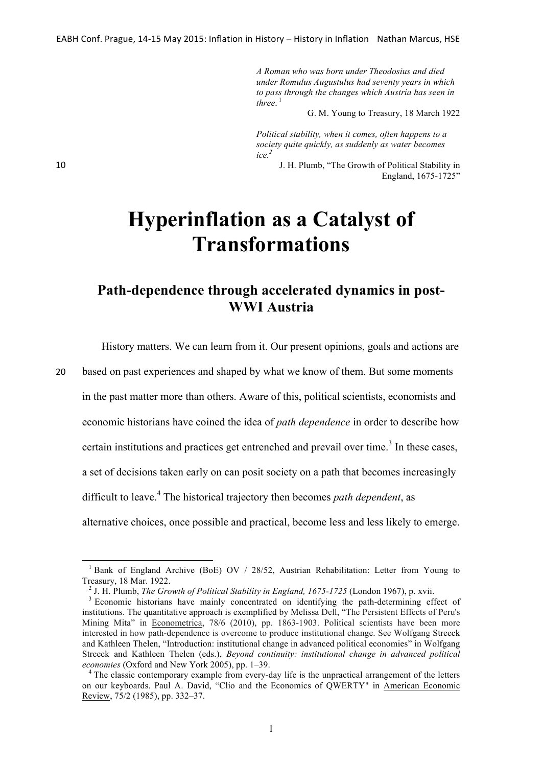*A Roman who was born under Theodosius and died under Romulus Augustulus had seventy years in which to pass through the changes which Austria has seen in three*. 1

G. M. Young to Treasury, 18 March 1922

*Political stability, when it comes, often happens to a society quite quickly, as suddenly as water becomes ice.2*

10 J. H. Plumb, "The Growth of Political Stability in England, 1675-1725"

## **Hyperinflation as a Catalyst of Transformations**

## **Path-dependence through accelerated dynamics in post-WWI Austria**

History matters. We can learn from it. Our present opinions, goals and actions are

20 based on past experiences and shaped by what we know of them. But some moments

in the past matter more than others. Aware of this, political scientists, economists and

economic historians have coined the idea of *path dependence* in order to describe how

certain institutions and practices get entrenched and prevail over time.<sup>3</sup> In these cases,

a set of decisions taken early on can posit society on a path that becomes increasingly

difficult to leave.<sup>4</sup> The historical trajectory then becomes *path dependent*, as

alternative choices, once possible and practical, become less and less likely to emerge.

<sup>&</sup>lt;sup>1</sup> Bank of England Archive (BoE) OV / 28/52. Austrian Rehabilitation: Letter from Young to Treasury, 18 Mar. 1922.<br><sup>2</sup> J. H. Plumb, *The Growth of Political Stability in England, 1675-1725* (London 1967), p. xvii.<br><sup>3</sup> Economic historians have mainly concentrated on identifying the path-determining effect of

institutions. The quantitative approach is exemplified by Melissa Dell, "The Persistent Effects of Peru's Mining Mita" in Econometrica, 78/6 (2010), pp. 1863-1903. Political scientists have been more interested in how path-dependence is overcome to produce institutional change. See Wolfgang Streeck and Kathleen Thelen, "Introduction: institutional change in advanced political economies" in Wolfgang Streeck and Kathleen Thelen (eds.), *Beyond continuity: institutional change in advanced political economies* (Oxford and New York 2005), pp. 1–39.<br><sup>4</sup> The classic contemporary example from every-day life is the unpractical arrangement of the letters

on our keyboards. Paul A. David, "Clio and the Economics of QWERTY" in American Economic Review, 75/2 (1985), pp. 332–37.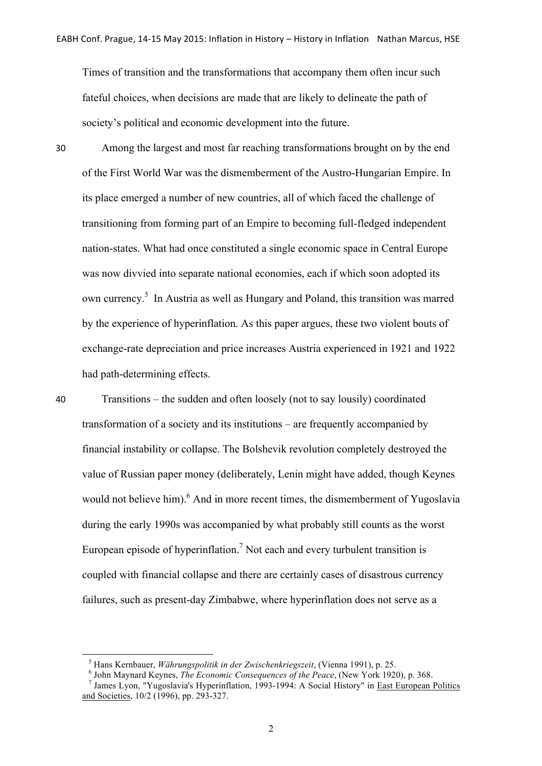Times of transition and the transformations that accompany them often incur such fateful choices, when decisions are made that are likely to delineate the path of society's political and economic development into the future.

30 Among the largest and most far reaching transformations brought on by the end of the First World War was the dismemberment of the Austro-Hungarian Empire. In its place emerged a number of new countries, all of which faced the challenge of transitioning from forming part of an Empire to becoming full-fledged independent nation-states. What had once constituted a single economic space in Central Europe was now divvied into separate national economies, each if which soon adopted its own currency.<sup>5</sup> In Austria as well as Hungary and Poland, this transition was marred by the experience of hyperinflation. As this paper argues, these two violent bouts of exchange-rate depreciation and price increases Austria experienced in 1921 and 1922 had path-determining effects.

40 Transitions – the sudden and often loosely (not to say lousily) coordinated transformation of a society and its institutions – are frequently accompanied by financial instability or collapse. The Bolshevik revolution completely destroyed the value of Russian paper money (deliberately, Lenin might have added, though Keynes would not believe him).<sup>6</sup> And in more recent times, the dismemberment of Yugoslavia during the early 1990s was accompanied by what probably still counts as the worst European episode of hyperinflation.<sup>7</sup> Not each and every turbulent transition is coupled with financial collapse and there are certainly cases of disastrous currency failures, such as present-day Zimbabwe, where hyperinflation does not serve as a

<sup>&</sup>lt;sup>5</sup> Hans Kernbauer, *Währungspolitik in der Zwischenkriegszeit*, (Vienna 1991), p. 25.<br><sup>6</sup> John Maynard Keynes, *The Economic Consequences of the Peace*, (New York 1920), p. 368.<br><sup>7</sup> James Lyon, "Yugoslavia's Hyperinflati

and Societies, 10/2 (1996), pp. 293-327.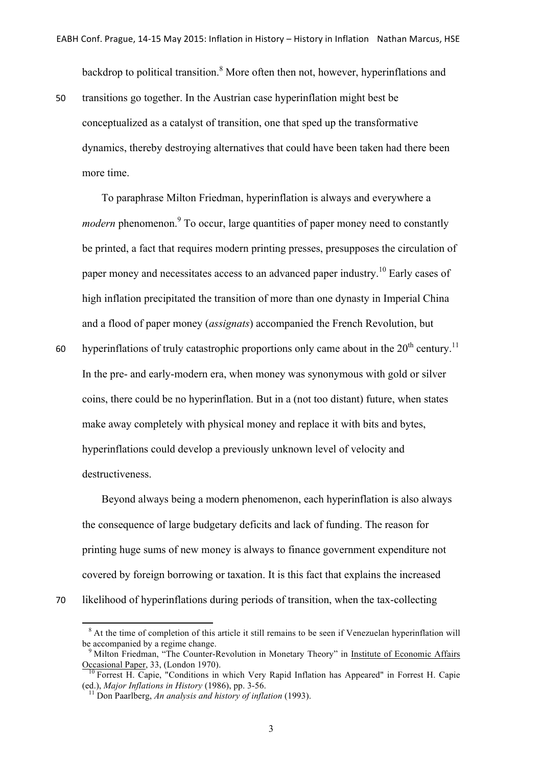backdrop to political transition.<sup>8</sup> More often then not, however, hyperinflations and

50 transitions go together. In the Austrian case hyperinflation might best be conceptualized as a catalyst of transition, one that sped up the transformative dynamics, thereby destroying alternatives that could have been taken had there been more time.

To paraphrase Milton Friedman, hyperinflation is always and everywhere a *modern* phenomenon.<sup>9</sup> To occur, large quantities of paper money need to constantly be printed, a fact that requires modern printing presses, presupposes the circulation of paper money and necessitates access to an advanced paper industry.<sup>10</sup> Early cases of high inflation precipitated the transition of more than one dynasty in Imperial China and a flood of paper money (*assignats*) accompanied the French Revolution, but

60 hyperinflations of truly catastrophic proportions only came about in the  $20^{th}$  century.<sup>11</sup> In the pre- and early-modern era, when money was synonymous with gold or silver coins, there could be no hyperinflation. But in a (not too distant) future, when states make away completely with physical money and replace it with bits and bytes, hyperinflations could develop a previously unknown level of velocity and destructiveness.

Beyond always being a modern phenomenon, each hyperinflation is also always the consequence of large budgetary deficits and lack of funding. The reason for printing huge sums of new money is always to finance government expenditure not covered by foreign borrowing or taxation. It is this fact that explains the increased 70 likelihood of hyperinflations during periods of transition, when the tax-collecting

 $8$  At the time of completion of this article it still remains to be seen if Venezuelan hyperinflation will be accompanied by a regime change.

<sup>&</sup>lt;sup>9</sup> Milton Friedman, "The Counter-Revolution in Monetary Theory" in <u>Institute of Economic Affairs</u><br>Occasional Paper, 33, (London 1970).

Forrest H. Capie, "Conditions in which Very Rapid Inflation has Appeared" in Forrest H. Capie (ed.), *Major Inflations in History* (1986), pp. 3-56. <sup>11</sup> Don Paarlberg, *An analysis and history of inflation* (1993).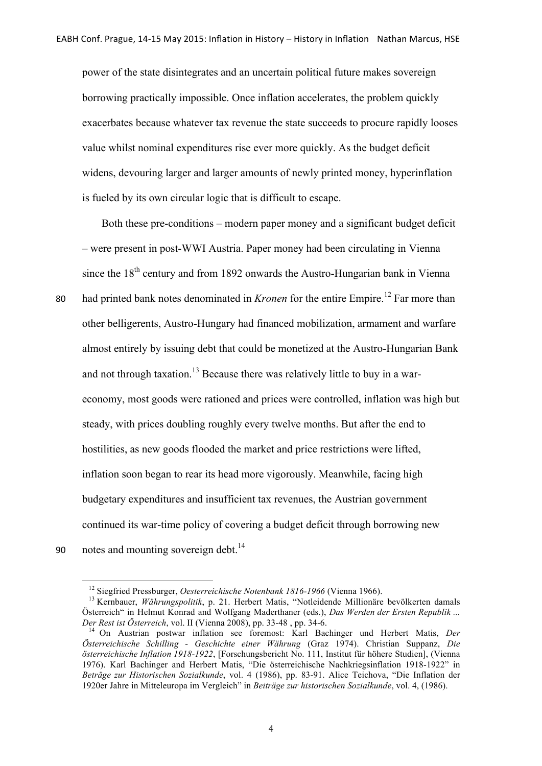power of the state disintegrates and an uncertain political future makes sovereign borrowing practically impossible. Once inflation accelerates, the problem quickly exacerbates because whatever tax revenue the state succeeds to procure rapidly looses value whilst nominal expenditures rise ever more quickly. As the budget deficit widens, devouring larger and larger amounts of newly printed money, hyperinflation is fueled by its own circular logic that is difficult to escape.

Both these pre-conditions – modern paper money and a significant budget deficit – were present in post-WWI Austria. Paper money had been circulating in Vienna since the  $18<sup>th</sup>$  century and from 1892 onwards the Austro-Hungarian bank in Vienna

80 had printed bank notes denominated in *Kronen* for the entire Empire.<sup>12</sup> Far more than other belligerents, Austro-Hungary had financed mobilization, armament and warfare almost entirely by issuing debt that could be monetized at the Austro-Hungarian Bank and not through taxation.<sup>13</sup> Because there was relatively little to buy in a wareconomy, most goods were rationed and prices were controlled, inflation was high but steady, with prices doubling roughly every twelve months. But after the end to hostilities, as new goods flooded the market and price restrictions were lifted, inflation soon began to rear its head more vigorously. Meanwhile, facing high budgetary expenditures and insufficient tax revenues, the Austrian government continued its war-time policy of covering a budget deficit through borrowing new 90 notes and mounting sovereign debt. $^{14}$ 

<sup>&</sup>lt;sup>12</sup> Siegfried Pressburger, *Oesterreichische Notenbank 1816-1966* (Vienna 1966).<br><sup>13</sup> Kernbauer, *Währungspolitik*, p. 21. Herbert Matis, "Notleidende Millionäre bevölkerten damals Österreich" in Helmut Konrad and Wolfgang Maderthaner (eds.), *Das Werden der Ersten Republik ...* 

<sup>&</sup>lt;sup>14</sup> On Austrian postwar inflation see foremost: Karl Bachinger und Herbert Matis, *Der Österreichische Schilling - Geschichte einer Währung* (Graz 1974). Christian Suppanz, *Die österreichische Inflation 1918-1922*, [Forschungsbericht No. 111, Institut für höhere Studien], (Vienna 1976). Karl Bachinger and Herbert Matis, "Die österreichische Nachkriegsinflation 1918-1922" in *Beträge zur Historischen Sozialkunde*, vol. 4 (1986), pp. 83-91. Alice Teichova, "Die Inflation der 1920er Jahre in Mitteleuropa im Vergleich" in *Beiträge zur historischen Sozialkunde*, vol. 4, (1986).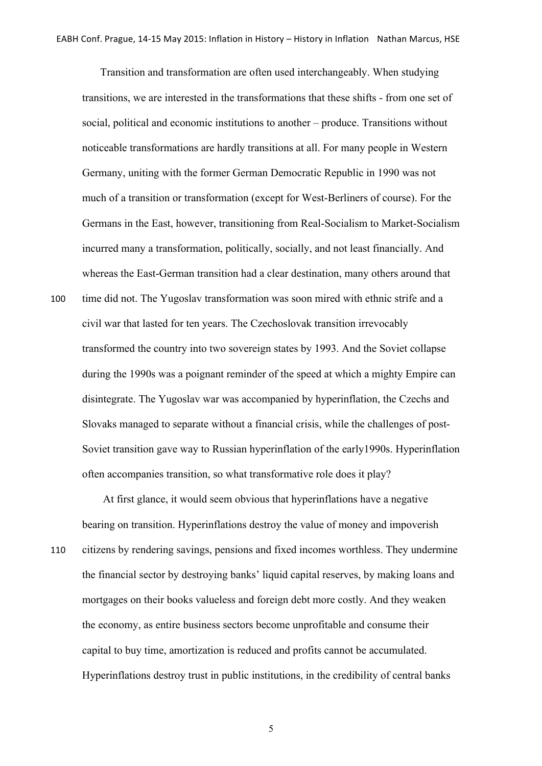Transition and transformation are often used interchangeably. When studying transitions, we are interested in the transformations that these shifts - from one set of social, political and economic institutions to another – produce. Transitions without noticeable transformations are hardly transitions at all. For many people in Western Germany, uniting with the former German Democratic Republic in 1990 was not much of a transition or transformation (except for West-Berliners of course). For the Germans in the East, however, transitioning from Real-Socialism to Market-Socialism incurred many a transformation, politically, socially, and not least financially. And whereas the East-German transition had a clear destination, many others around that 100 time did not. The Yugoslav transformation was soon mired with ethnic strife and a civil war that lasted for ten years. The Czechoslovak transition irrevocably transformed the country into two sovereign states by 1993. And the Soviet collapse during the 1990s was a poignant reminder of the speed at which a mighty Empire can disintegrate. The Yugoslav war was accompanied by hyperinflation, the Czechs and Slovaks managed to separate without a financial crisis, while the challenges of post-Soviet transition gave way to Russian hyperinflation of the early1990s. Hyperinflation often accompanies transition, so what transformative role does it play?

At first glance, it would seem obvious that hyperinflations have a negative bearing on transition. Hyperinflations destroy the value of money and impoverish 110 citizens by rendering savings, pensions and fixed incomes worthless. They undermine the financial sector by destroying banks' liquid capital reserves, by making loans and mortgages on their books valueless and foreign debt more costly. And they weaken the economy, as entire business sectors become unprofitable and consume their capital to buy time, amortization is reduced and profits cannot be accumulated. Hyperinflations destroy trust in public institutions, in the credibility of central banks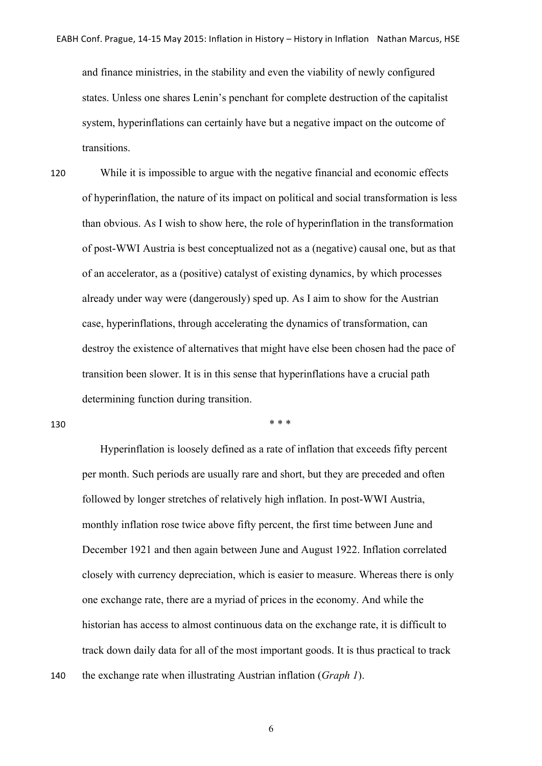and finance ministries, in the stability and even the viability of newly configured states. Unless one shares Lenin's penchant for complete destruction of the capitalist system, hyperinflations can certainly have but a negative impact on the outcome of transitions.

120 While it is impossible to argue with the negative financial and economic effects of hyperinflation, the nature of its impact on political and social transformation is less than obvious. As I wish to show here, the role of hyperinflation in the transformation of post-WWI Austria is best conceptualized not as a (negative) causal one, but as that of an accelerator, as a (positive) catalyst of existing dynamics, by which processes already under way were (dangerously) sped up. As I aim to show for the Austrian case, hyperinflations, through accelerating the dynamics of transformation, can destroy the existence of alternatives that might have else been chosen had the pace of transition been slower. It is in this sense that hyperinflations have a crucial path determining function during transition.

130  $***$ 

Hyperinflation is loosely defined as a rate of inflation that exceeds fifty percent per month. Such periods are usually rare and short, but they are preceded and often followed by longer stretches of relatively high inflation. In post-WWI Austria, monthly inflation rose twice above fifty percent, the first time between June and December 1921 and then again between June and August 1922. Inflation correlated closely with currency depreciation, which is easier to measure. Whereas there is only one exchange rate, there are a myriad of prices in the economy. And while the historian has access to almost continuous data on the exchange rate, it is difficult to track down daily data for all of the most important goods. It is thus practical to track 140 the exchange rate when illustrating Austrian inflation (*Graph 1*).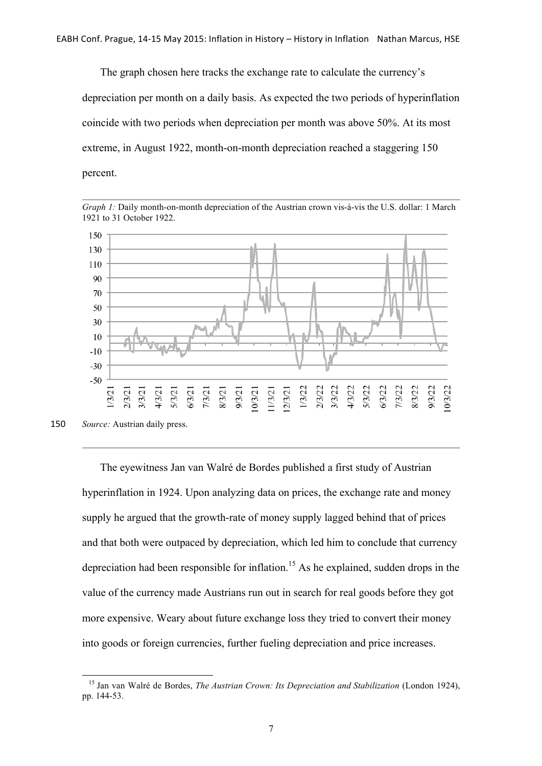The graph chosen here tracks the exchange rate to calculate the currency's depreciation per month on a daily basis. As expected the two periods of hyperinflation coincide with two periods when depreciation per month was above 50%. At its most extreme, in August 1922, month-on-month depreciation reached a staggering 150 percent.





<u> 1989 - Johann Stein, fransk politiker (d. 1989)</u>

The eyewitness Jan van Walré de Bordes published a first study of Austrian hyperinflation in 1924. Upon analyzing data on prices, the exchange rate and money supply he argued that the growth-rate of money supply lagged behind that of prices and that both were outpaced by depreciation, which led him to conclude that currency depreciation had been responsible for inflation. <sup>15</sup> As he explained, sudden drops in the value of the currency made Austrians run out in search for real goods before they got more expensive. Weary about future exchange loss they tried to convert their money into goods or foreign currencies, further fueling depreciation and price increases.

<sup>150</sup> *Source:* Austrian daily press.

<sup>15</sup> Jan van Walré de Bordes, *The Austrian Crown: Its Depreciation and Stabilization* (London 1924), pp. 144-53.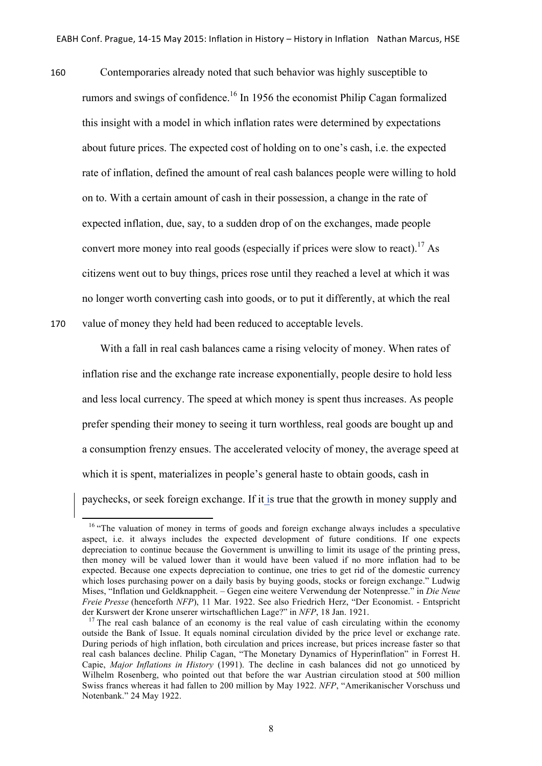160 Contemporaries already noted that such behavior was highly susceptible to rumors and swings of confidence.<sup>16</sup> In 1956 the economist Philip Cagan formalized this insight with a model in which inflation rates were determined by expectations about future prices. The expected cost of holding on to one's cash, i.e. the expected rate of inflation, defined the amount of real cash balances people were willing to hold on to. With a certain amount of cash in their possession, a change in the rate of expected inflation, due, say, to a sudden drop of on the exchanges, made people convert more money into real goods (especially if prices were slow to react).<sup>17</sup> As citizens went out to buy things, prices rose until they reached a level at which it was no longer worth converting cash into goods, or to put it differently, at which the real 170 value of money they held had been reduced to acceptable levels.

With a fall in real cash balances came a rising velocity of money. When rates of inflation rise and the exchange rate increase exponentially, people desire to hold less and less local currency. The speed at which money is spent thus increases. As people prefer spending their money to seeing it turn worthless, real goods are bought up and a consumption frenzy ensues. The accelerated velocity of money, the average speed at which it is spent, materializes in people's general haste to obtain goods, cash in paychecks, or seek foreign exchange. If it is true that the growth in money supply and

<sup>&</sup>lt;sup>16</sup> "The valuation of money in terms of goods and foreign exchange always includes a speculative aspect, i.e. it always includes the expected development of future conditions. If one expects depreciation to continue because the Government is unwilling to limit its usage of the printing press, then money will be valued lower than it would have been valued if no more inflation had to be expected. Because one expects depreciation to continue, one tries to get rid of the domestic currency which loses purchasing power on a daily basis by buying goods, stocks or foreign exchange." Ludwig Mises, "Inflation und Geldknappheit. – Gegen eine weitere Verwendung der Notenpresse." in *Die Neue Freie Presse* (henceforth *NFP*), 11 Mar. 1922. See also Friedrich Herz, "Der Economist. - Entspricht der Kurswert der Krone unserer wirtschaftlichen Lage?" in *NFP*, 18 Jan. 1921.

<sup>&</sup>lt;sup>17</sup> The real cash balance of an economy is the real value of cash circulating within the economy outside the Bank of Issue. It equals nominal circulation divided by the price level or exchange rate. During periods of high inflation, both circulation and prices increase, but prices increase faster so that real cash balances decline. Philip Cagan, "The Monetary Dynamics of Hyperinflation" in Forrest H. Capie, *Major Inflations in History* (1991). The decline in cash balances did not go unnoticed by Wilhelm Rosenberg, who pointed out that before the war Austrian circulation stood at 500 million Swiss francs whereas it had fallen to 200 million by May 1922. *NFP*, "Amerikanischer Vorschuss und Notenbank." 24 May 1922.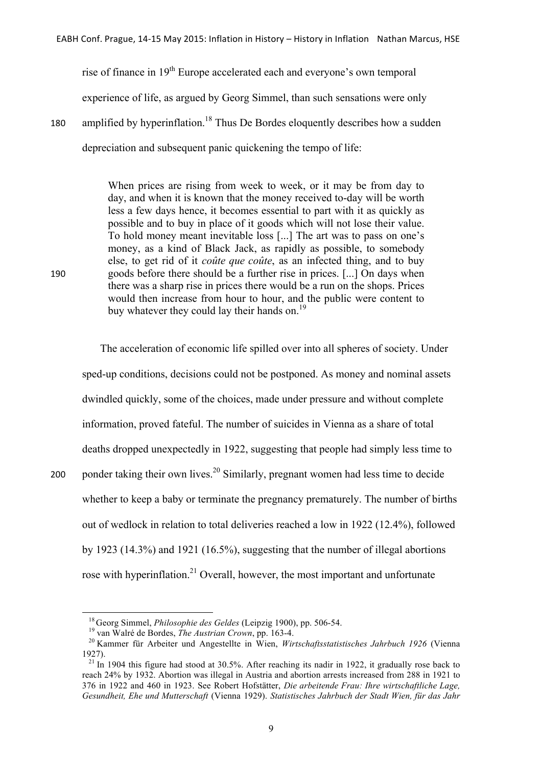rise of finance in 19th Europe accelerated each and everyone's own temporal experience of life, as argued by Georg Simmel, than such sensations were only 180 amplified by hyperinflation.<sup>18</sup> Thus De Bordes eloquently describes how a sudden depreciation and subsequent panic quickening the tempo of life:

When prices are rising from week to week, or it may be from day to day, and when it is known that the money received to-day will be worth less a few days hence, it becomes essential to part with it as quickly as possible and to buy in place of it goods which will not lose their value. To hold money meant inevitable loss [...] The art was to pass on one's money, as a kind of Black Jack, as rapidly as possible, to somebody else, to get rid of it *coûte que coûte*, as an infected thing, and to buy 190 goods before there should be a further rise in prices. [...] On days when there was a sharp rise in prices there would be a run on the shops. Prices would then increase from hour to hour, and the public were content to buy whatever they could lay their hands on.<sup>19</sup>

The acceleration of economic life spilled over into all spheres of society. Under sped-up conditions, decisions could not be postponed. As money and nominal assets dwindled quickly, some of the choices, made under pressure and without complete information, proved fateful. The number of suicides in Vienna as a share of total deaths dropped unexpectedly in 1922, suggesting that people had simply less time to 200 ponder taking their own lives.<sup>20</sup> Similarly, pregnant women had less time to decide whether to keep a baby or terminate the pregnancy prematurely. The number of births out of wedlock in relation to total deliveries reached a low in 1922 (12.4%), followed by 1923 (14.3%) and 1921 (16.5%), suggesting that the number of illegal abortions rose with hyperinflation.<sup>21</sup> Overall, however, the most important and unfortunate

<u> 1989 - Johann Stein, fransk politiker (d. 1989)</u>

<sup>&</sup>lt;sup>18</sup> Georg Simmel, *Philosophie des Geldes* (Leipzig 1900), pp. 506-54.<br><sup>19</sup> van Walré de Bordes, *The Austrian Crown*, pp. 163-4.<br><sup>20</sup> Kammer für Arbeiter und Angestellte in Wien, *Wirtschaftsstatistisches Jahrbuch 1926* 1927).<br><sup>21</sup> In 1904 this figure had stood at 30.5%. After reaching its nadir in 1922, it gradually rose back to

reach 24% by 1932. Abortion was illegal in Austria and abortion arrests increased from 288 in 1921 to 376 in 1922 and 460 in 1923. See Robert Hofstätter, *Die arbeitende Frau: Ihre wirtschaftliche Lage, Gesundheit, Ehe und Mutterschaft* (Vienna 1929). *Statistisches Jahrbuch der Stadt Wien, für das Jahr*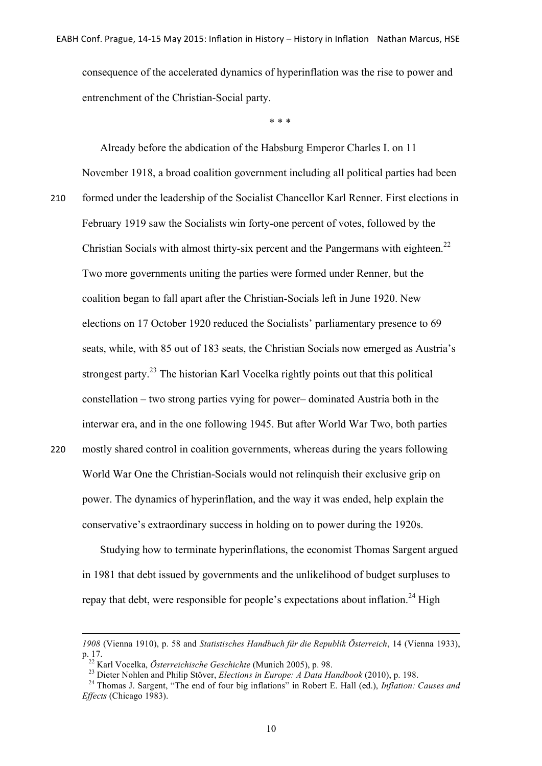consequence of the accelerated dynamics of hyperinflation was the rise to power and entrenchment of the Christian-Social party.

\* \* \*

Already before the abdication of the Habsburg Emperor Charles I. on 11 November 1918, a broad coalition government including all political parties had been 210 formed under the leadership of the Socialist Chancellor Karl Renner. First elections in February 1919 saw the Socialists win forty-one percent of votes, followed by the Christian Socials with almost thirty-six percent and the Pangermans with eighteen.<sup>22</sup> Two more governments uniting the parties were formed under Renner, but the coalition began to fall apart after the Christian-Socials left in June 1920. New elections on 17 October 1920 reduced the Socialists' parliamentary presence to 69 seats, while, with 85 out of 183 seats, the Christian Socials now emerged as Austria's strongest party.<sup>23</sup> The historian Karl Vocelka rightly points out that this political constellation – two strong parties vying for power– dominated Austria both in the interwar era, and in the one following 1945. But after World War Two, both parties 220 mostly shared control in coalition governments, whereas during the years following World War One the Christian-Socials would not relinquish their exclusive grip on power. The dynamics of hyperinflation, and the way it was ended, help explain the conservative's extraordinary success in holding on to power during the 1920s.

Studying how to terminate hyperinflations, the economist Thomas Sargent argued in 1981 that debt issued by governments and the unlikelihood of budget surpluses to repay that debt, were responsible for people's expectations about inflation.<sup>24</sup> High

 *1908* (Vienna 1910), p. 58 and *Statistisches Handbuch für die Republik Österreich*, 14 (Vienna 1933), p. 17.<br><sup>22</sup> Karl Vocelka, *Österreichische Geschichte* (Munich 2005), p. 98.<br><sup>23</sup> Dieter Nohlen and Philip Stöver, *Elections in Europe: A Data Handbook* (2010), p. 198.<br><sup>24</sup> Thomas J. Sargent, "The end of four big inflat

*Effects* (Chicago 1983).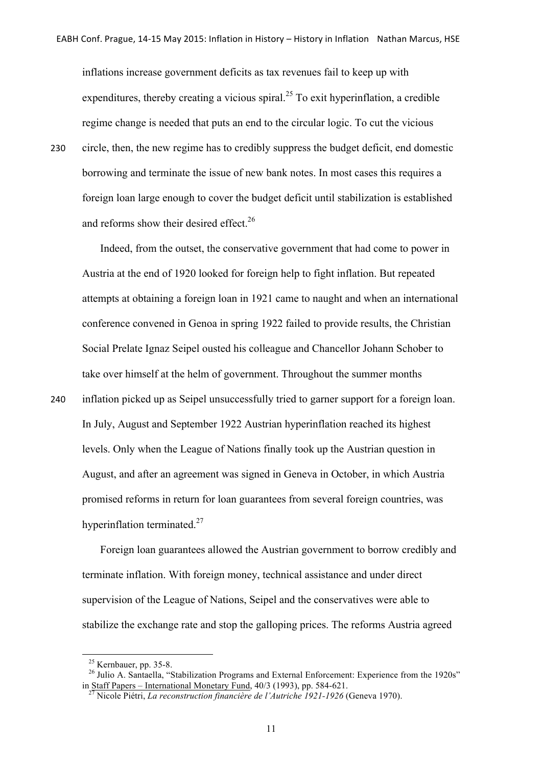inflations increase government deficits as tax revenues fail to keep up with expenditures, thereby creating a vicious spiral.<sup>25</sup> To exit hyperinflation, a credible regime change is needed that puts an end to the circular logic. To cut the vicious 230 circle, then, the new regime has to credibly suppress the budget deficit, end domestic borrowing and terminate the issue of new bank notes. In most cases this requires a foreign loan large enough to cover the budget deficit until stabilization is established and reforms show their desired effect.<sup>26</sup>

Indeed, from the outset, the conservative government that had come to power in Austria at the end of 1920 looked for foreign help to fight inflation. But repeated attempts at obtaining a foreign loan in 1921 came to naught and when an international conference convened in Genoa in spring 1922 failed to provide results, the Christian Social Prelate Ignaz Seipel ousted his colleague and Chancellor Johann Schober to take over himself at the helm of government. Throughout the summer months 240 inflation picked up as Seipel unsuccessfully tried to garner support for a foreign loan. In July, August and September 1922 Austrian hyperinflation reached its highest levels. Only when the League of Nations finally took up the Austrian question in August, and after an agreement was signed in Geneva in October, in which Austria promised reforms in return for loan guarantees from several foreign countries, was hyperinflation terminated.<sup>27</sup>

Foreign loan guarantees allowed the Austrian government to borrow credibly and terminate inflation. With foreign money, technical assistance and under direct supervision of the League of Nations, Seipel and the conservatives were able to stabilize the exchange rate and stop the galloping prices. The reforms Austria agreed

<sup>&</sup>lt;sup>25</sup> Kernbauer, pp. 35-8.<br><sup>26</sup> Julio A. Santaella, "Stabilization Programs and External Enforcement: Experience from the 1920s" in Staff Papers – International Monetary Fund, 40/3 (1993), pp. 584-621. 27 Nicole Piétri, *La reconstruction financière de l'Autriche 1921-1926* (Geneva 1970).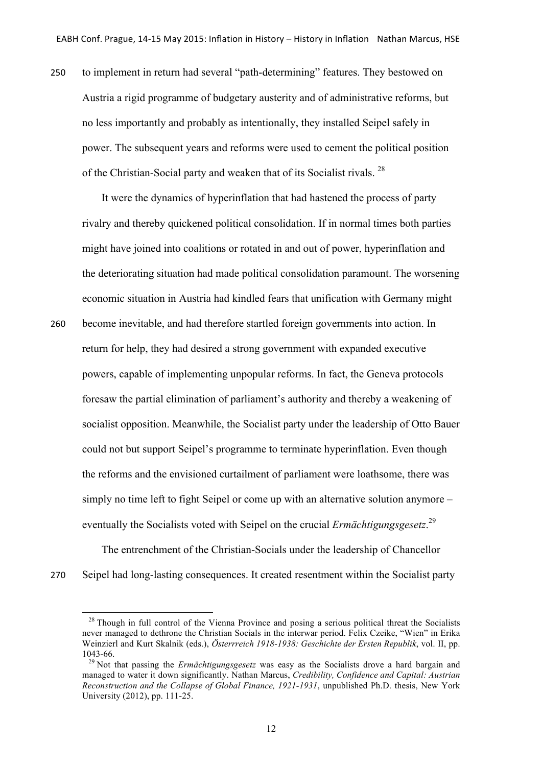250 to implement in return had several "path-determining" features. They bestowed on Austria a rigid programme of budgetary austerity and of administrative reforms, but no less importantly and probably as intentionally, they installed Seipel safely in power. The subsequent years and reforms were used to cement the political position of the Christian-Social party and weaken that of its Socialist rivals. <sup>28</sup>

It were the dynamics of hyperinflation that had hastened the process of party rivalry and thereby quickened political consolidation. If in normal times both parties might have joined into coalitions or rotated in and out of power, hyperinflation and the deteriorating situation had made political consolidation paramount. The worsening economic situation in Austria had kindled fears that unification with Germany might 260 become inevitable, and had therefore startled foreign governments into action. In return for help, they had desired a strong government with expanded executive powers, capable of implementing unpopular reforms. In fact, the Geneva protocols foresaw the partial elimination of parliament's authority and thereby a weakening of socialist opposition. Meanwhile, the Socialist party under the leadership of Otto Bauer could not but support Seipel's programme to terminate hyperinflation. Even though the reforms and the envisioned curtailment of parliament were loathsome, there was simply no time left to fight Seipel or come up with an alternative solution anymore – eventually the Socialists voted with Seipel on the crucial *Ermächtigungsgesetz*.<sup>29</sup>

The entrenchment of the Christian-Socials under the leadership of Chancellor 270 Seipel had long-lasting consequences. It created resentment within the Socialist party

 $28$  Though in full control of the Vienna Province and posing a serious political threat the Socialists never managed to dethrone the Christian Socials in the interwar period. Felix Czeike, "Wien" in Erika Weinzierl and Kurt Skalnik (eds.), *Österrreich 1918-1938: Geschichte der Ersten Republik*, vol. II, pp. 1043-66. <sup>29</sup> Not that passing the *Ermächtigungsgesetz* was easy as the Socialists drove a hard bargain and

managed to water it down significantly. Nathan Marcus, *Credibility, Confidence and Capital: Austrian Reconstruction and the Collapse of Global Finance, 1921-1931*, unpublished Ph.D. thesis, New York University (2012), pp. 111-25.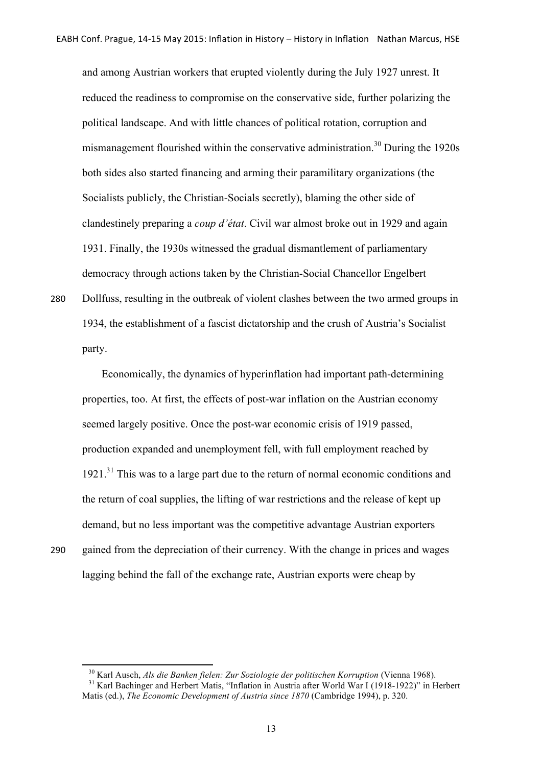and among Austrian workers that erupted violently during the July 1927 unrest. It reduced the readiness to compromise on the conservative side, further polarizing the political landscape. And with little chances of political rotation, corruption and mismanagement flourished within the conservative administration.<sup>30</sup> During the 1920s both sides also started financing and arming their paramilitary organizations (the Socialists publicly, the Christian-Socials secretly), blaming the other side of clandestinely preparing a *coup d'état*. Civil war almost broke out in 1929 and again 1931. Finally, the 1930s witnessed the gradual dismantlement of parliamentary democracy through actions taken by the Christian-Social Chancellor Engelbert

280 Dollfuss, resulting in the outbreak of violent clashes between the two armed groups in 1934, the establishment of a fascist dictatorship and the crush of Austria's Socialist party.

Economically, the dynamics of hyperinflation had important path-determining properties, too. At first, the effects of post-war inflation on the Austrian economy seemed largely positive. Once the post-war economic crisis of 1919 passed, production expanded and unemployment fell, with full employment reached by  $1921$ <sup>31</sup>. This was to a large part due to the return of normal economic conditions and the return of coal supplies, the lifting of war restrictions and the release of kept up demand, but no less important was the competitive advantage Austrian exporters 290 gained from the depreciation of their currency. With the change in prices and wages lagging behind the fall of the exchange rate, Austrian exports were cheap by

<sup>&</sup>lt;sup>30</sup> Karl Ausch, *Als die Banken fielen: Zur Soziologie der politischen Korruption* (Vienna 1968).<br><sup>31</sup> Karl Bachinger and Herbert Matis, "Inflation in Austria after World War I (1918-1922)" in Herbert

Matis (ed.), *The Economic Development of Austria since 1870* (Cambridge 1994), p. 320.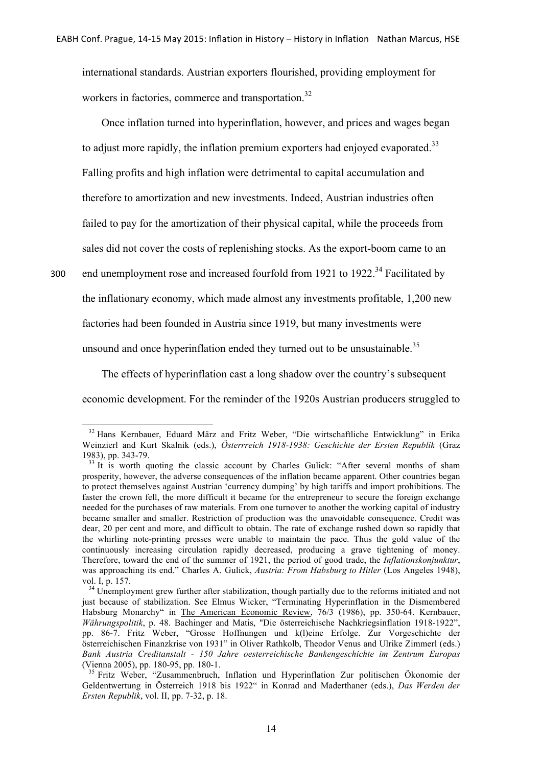international standards. Austrian exporters flourished, providing employment for workers in factories, commerce and transportation.<sup>32</sup>

Once inflation turned into hyperinflation, however, and prices and wages began to adjust more rapidly, the inflation premium exporters had enjoyed evaporated.<sup>33</sup> Falling profits and high inflation were detrimental to capital accumulation and therefore to amortization and new investments. Indeed, Austrian industries often failed to pay for the amortization of their physical capital, while the proceeds from sales did not cover the costs of replenishing stocks. As the export-boom came to an

300 end unemployment rose and increased fourfold from 1921 to 1922.<sup>34</sup> Facilitated by the inflationary economy, which made almost any investments profitable, 1,200 new factories had been founded in Austria since 1919, but many investments were unsound and once hyperinflation ended they turned out to be unsustainable.<sup>35</sup>

The effects of hyperinflation cast a long shadow over the country's subsequent economic development. For the reminder of the 1920s Austrian producers struggled to

<sup>32</sup> Hans Kernbauer, Eduard März and Fritz Weber, "Die wirtschaftliche Entwicklung" in Erika Weinzierl and Kurt Skalnik (eds.), *Österrreich 1918-1938: Geschichte der Ersten Republik* (Graz 1983), pp. 343-79.<br><sup>33</sup> It is worth quoting the classic account by Charles Gulick: "After several months of sham

prosperity, however, the adverse consequences of the inflation became apparent. Other countries began to protect themselves against Austrian 'currency dumping' by high tariffs and import prohibitions. The faster the crown fell, the more difficult it became for the entrepreneur to secure the foreign exchange needed for the purchases of raw materials. From one turnover to another the working capital of industry became smaller and smaller. Restriction of production was the unavoidable consequence. Credit was dear, 20 per cent and more, and difficult to obtain. The rate of exchange rushed down so rapidly that the whirling note-printing presses were unable to maintain the pace. Thus the gold value of the continuously increasing circulation rapidly decreased, producing a grave tightening of money. Therefore, toward the end of the summer of 1921, the period of good trade, the *Inflationskonjunktur*, was approaching its end." Charles A. Gulick, *Austria: From Habsburg to Hitler* (Los Angeles 1948), vol. I, p. 157.<br><sup>34</sup> Unemployment grew further after stabilization, though partially due to the reforms initiated and not

just because of stabilization. See Elmus Wicker, "Terminating Hyperinflation in the Dismembered Habsburg Monarchy" in The American Economic Review, 76/3 (1986), pp. 350-64. Kernbauer, *Währungspolitik*, p. 48. Bachinger and Matis, "Die österreichische Nachkriegsinflation 1918-1922", pp. 86-7. Fritz Weber, "Grosse Hoffnungen und k(l)eine Erfolge. Zur Vorgeschichte der österreichischen Finanzkrise von 1931" in Oliver Rathkolb, Theodor Venus and Ulrike Zimmerl (eds.) *Bank Austria Creditanstalt - 150 Jahre oesterreichische Bankengeschichte im Zentrum Europas*

<sup>&</sup>lt;sup>35</sup> Fritz Weber, "Zusammenbruch, Inflation und Hyperinflation Zur politischen Ökonomie der Geldentwertung in Österreich 1918 bis 1922" in Konrad and Maderthaner (eds.), *Das Werden der Ersten Republik*, vol. II, pp. 7-32, p. 18.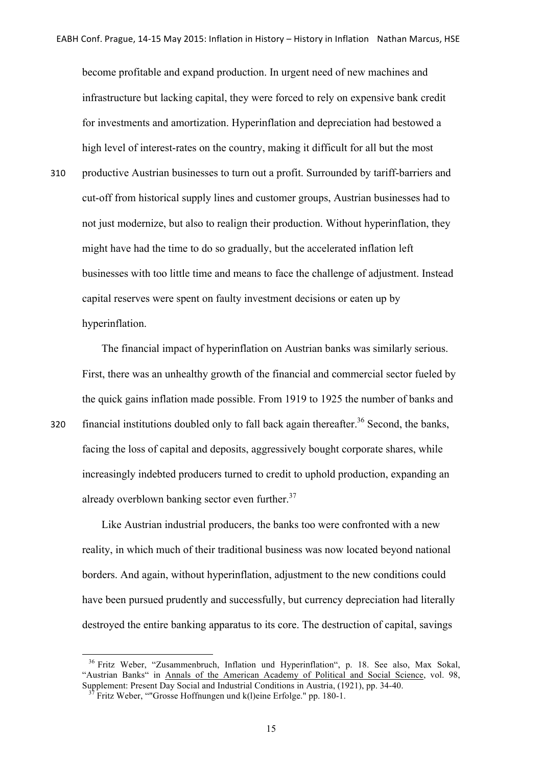become profitable and expand production. In urgent need of new machines and infrastructure but lacking capital, they were forced to rely on expensive bank credit for investments and amortization. Hyperinflation and depreciation had bestowed a high level of interest-rates on the country, making it difficult for all but the most 310 productive Austrian businesses to turn out a profit. Surrounded by tariff-barriers and cut-off from historical supply lines and customer groups, Austrian businesses had to not just modernize, but also to realign their production. Without hyperinflation, they might have had the time to do so gradually, but the accelerated inflation left businesses with too little time and means to face the challenge of adjustment. Instead capital reserves were spent on faulty investment decisions or eaten up by hyperinflation.

The financial impact of hyperinflation on Austrian banks was similarly serious. First, there was an unhealthy growth of the financial and commercial sector fueled by the quick gains inflation made possible. From 1919 to 1925 the number of banks and 320 financial institutions doubled only to fall back again thereafter.<sup>36</sup> Second, the banks, facing the loss of capital and deposits, aggressively bought corporate shares, while increasingly indebted producers turned to credit to uphold production, expanding an already overblown banking sector even further.<sup>37</sup>

Like Austrian industrial producers, the banks too were confronted with a new reality, in which much of their traditional business was now located beyond national borders. And again, without hyperinflation, adjustment to the new conditions could have been pursued prudently and successfully, but currency depreciation had literally destroyed the entire banking apparatus to its core. The destruction of capital, savings

<sup>36</sup> Fritz Weber, "Zusammenbruch, Inflation und Hyperinflation", p. 18. See also, Max Sokal, "Austrian Banks" in Annals of the American Academy of Political and Social Science, vol. 98,

Supplement: Present Day Social and Industrial Conditions in Austria, (1921), pp. 34-40.<br><sup>37</sup> Fritz Weber, ""Grosse Hoffnungen und k(l)eine Erfolge." pp. 180-1.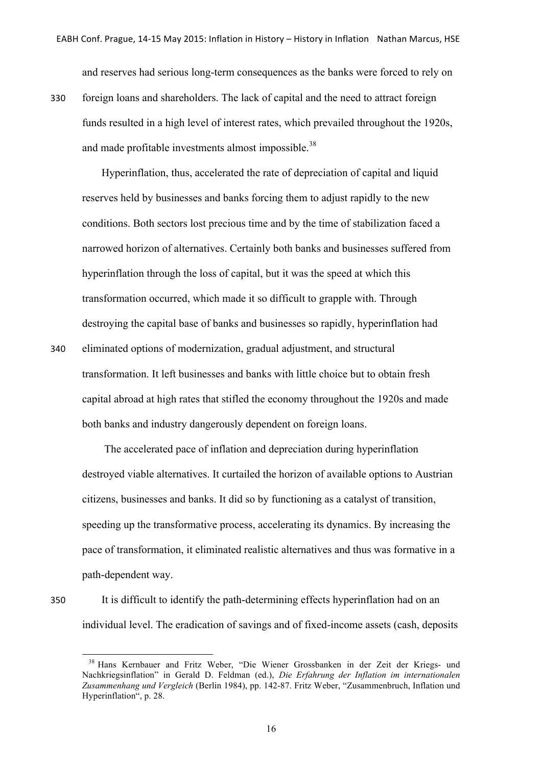and reserves had serious long-term consequences as the banks were forced to rely on

330 foreign loans and shareholders. The lack of capital and the need to attract foreign funds resulted in a high level of interest rates, which prevailed throughout the 1920s, and made profitable investments almost impossible.<sup>38</sup>

Hyperinflation, thus, accelerated the rate of depreciation of capital and liquid reserves held by businesses and banks forcing them to adjust rapidly to the new conditions. Both sectors lost precious time and by the time of stabilization faced a narrowed horizon of alternatives. Certainly both banks and businesses suffered from hyperinflation through the loss of capital, but it was the speed at which this transformation occurred, which made it so difficult to grapple with. Through destroying the capital base of banks and businesses so rapidly, hyperinflation had

340 eliminated options of modernization, gradual adjustment, and structural transformation. It left businesses and banks with little choice but to obtain fresh capital abroad at high rates that stifled the economy throughout the 1920s and made both banks and industry dangerously dependent on foreign loans.

The accelerated pace of inflation and depreciation during hyperinflation destroyed viable alternatives. It curtailed the horizon of available options to Austrian citizens, businesses and banks. It did so by functioning as a catalyst of transition, speeding up the transformative process, accelerating its dynamics. By increasing the pace of transformation, it eliminated realistic alternatives and thus was formative in a path-dependent way.

<u> 1989 - Johann Stein, fransk politiker (d. 1989)</u>

350 It is difficult to identify the path-determining effects hyperinflation had on an individual level. The eradication of savings and of fixed-income assets (cash, deposits

<sup>38</sup> Hans Kernbauer and Fritz Weber, "Die Wiener Grossbanken in der Zeit der Kriegs- und Nachkriegsinflation" in Gerald D. Feldman (ed.), *Die Erfahrung der Inflation im internationalen Zusammenhang und Vergleich* (Berlin 1984), pp. 142-87. Fritz Weber, "Zusammenbruch, Inflation und Hyperinflation", p. 28.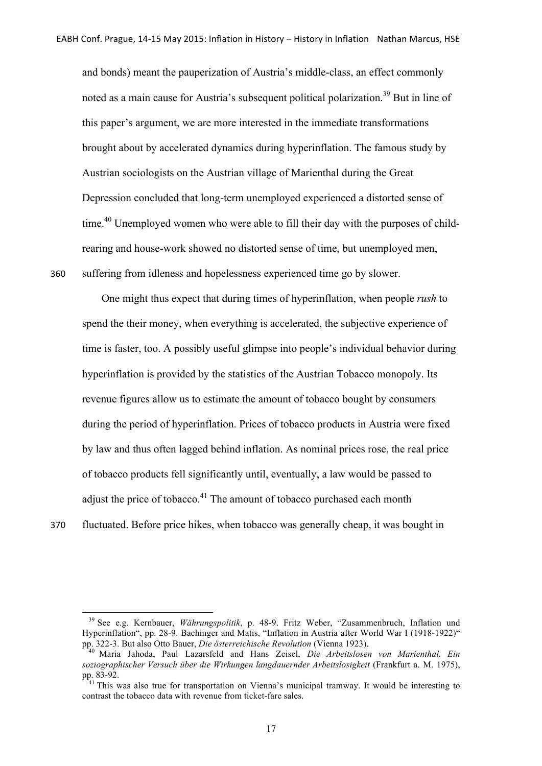and bonds) meant the pauperization of Austria's middle-class, an effect commonly noted as a main cause for Austria's subsequent political polarization.<sup>39</sup> But in line of this paper's argument, we are more interested in the immediate transformations brought about by accelerated dynamics during hyperinflation. The famous study by Austrian sociologists on the Austrian village of Marienthal during the Great Depression concluded that long-term unemployed experienced a distorted sense of time.<sup>40</sup> Unemployed women who were able to fill their day with the purposes of childrearing and house-work showed no distorted sense of time, but unemployed men, 360 suffering from idleness and hopelessness experienced time go by slower.

One might thus expect that during times of hyperinflation, when people *rush* to spend the their money, when everything is accelerated, the subjective experience of time is faster, too. A possibly useful glimpse into people's individual behavior during hyperinflation is provided by the statistics of the Austrian Tobacco monopoly. Its revenue figures allow us to estimate the amount of tobacco bought by consumers during the period of hyperinflation. Prices of tobacco products in Austria were fixed by law and thus often lagged behind inflation. As nominal prices rose, the real price of tobacco products fell significantly until, eventually, a law would be passed to adjust the price of tobacco.<sup>41</sup> The amount of tobacco purchased each month 370 fluctuated. Before price hikes, when tobacco was generally cheap, it was bought in

<sup>&</sup>lt;u> 1989 - Johann Stein, fransk politiker (d. 1989)</u> <sup>39</sup> See e.g. Kernbauer, *Währungspolitik*, p. 48-9. Fritz Weber, "Zusammenbruch, Inflation und Hyperinflation", pp. 28-9. Bachinger and Matis, "Inflation in Austria after World War I (1918-1922)"<br>pp. 322-3. But also Otto Bauer, *Die österreichische Revolution* (Vienna 1923).

pp. 322-3. But also Otto Bauer, *Die österreichische Revolution* (Vienna 1923). <sup>40</sup> Maria Jahoda, Paul Lazarsfeld and Hans Zeisel, *Die Arbeitslosen von Marienthal. Ein soziographischer Versuch über die Wirkungen langdauernder Arbeitslosigkeit* (Frankfurt a. M. 1975),

<sup>&</sup>lt;sup>1</sup> This was also true for transportation on Vienna's municipal tramway. It would be interesting to contrast the tobacco data with revenue from ticket-fare sales.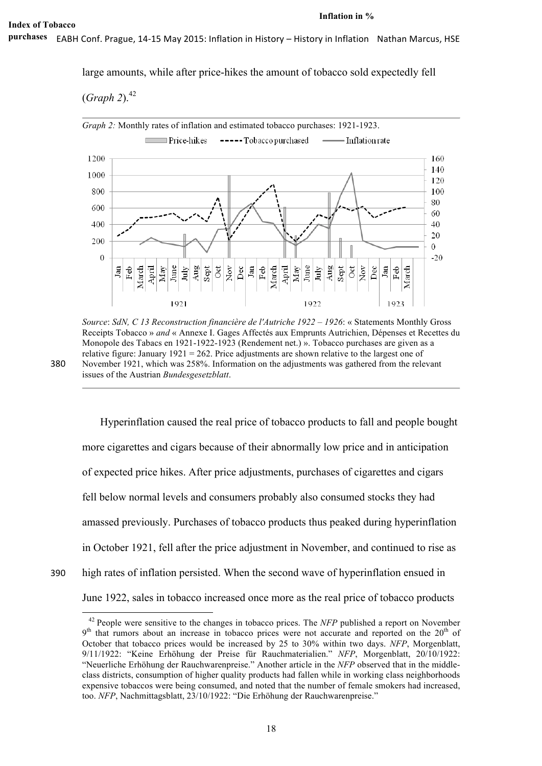EABH Conf. Prague, 14-15 May 2015: Inflation in History – History in Inflation Nathan Marcus, HSE **purchases**

large amounts, while after price-hikes the amount of tobacco sold expectedly fell

(*Graph 2*). 42



*Source*: *SdN, C 13 Reconstruction financière de l'Autriche 1922 – 1926*: « Statements Monthly Gross Receipts Tobacco » *and* « Annexe I. Gages Affectés aux Emprunts Autrichien, Dépenses et Recettes du Monopole des Tabacs en 1921-1922-1923 (Rendement net.) ». Tobacco purchases are given as a relative figure: January 1921 = 262. Price adjustments are shown relative to the largest one of 380 November 1921, which was 258%. Information on the adjustments was gathered from the relevant issues of the Austrian *Bundesgesetzblatt*.

Hyperinflation caused the real price of tobacco products to fall and people bought more cigarettes and cigars because of their abnormally low price and in anticipation of expected price hikes. After price adjustments, purchases of cigarettes and cigars fell below normal levels and consumers probably also consumed stocks they had amassed previously. Purchases of tobacco products thus peaked during hyperinflation in October 1921, fell after the price adjustment in November, and continued to rise as 390 high rates of inflation persisted. When the second wave of hyperinflation ensued in June 1922, sales in tobacco increased once more as the real price of tobacco products

<sup>&</sup>lt;u> 1989 - Johann Stein, fransk politiker (d. 1989)</u> <sup>42</sup> People were sensitive to the changes in tobacco prices. The *NFP* published a report on November  $9<sup>th</sup>$  that rumors about an increase in tobacco prices were not accurate and reported on the 20<sup>th</sup> of October that tobacco prices would be increased by 25 to 30% within two days. *NFP*, Morgenblatt, 9/11/1922: "Keine Erhöhung der Preise für Rauchmaterialien." *NFP*, Morgenblatt, 20/10/1922: "Neuerliche Erhöhung der Rauchwarenpreise." Another article in the *NFP* observed that in the middleclass districts, consumption of higher quality products had fallen while in working class neighborhoods expensive tobaccos were being consumed, and noted that the number of female smokers had increased, too. *NFP*, Nachmittagsblatt, 23/10/1922: "Die Erhöhung der Rauchwarenpreise."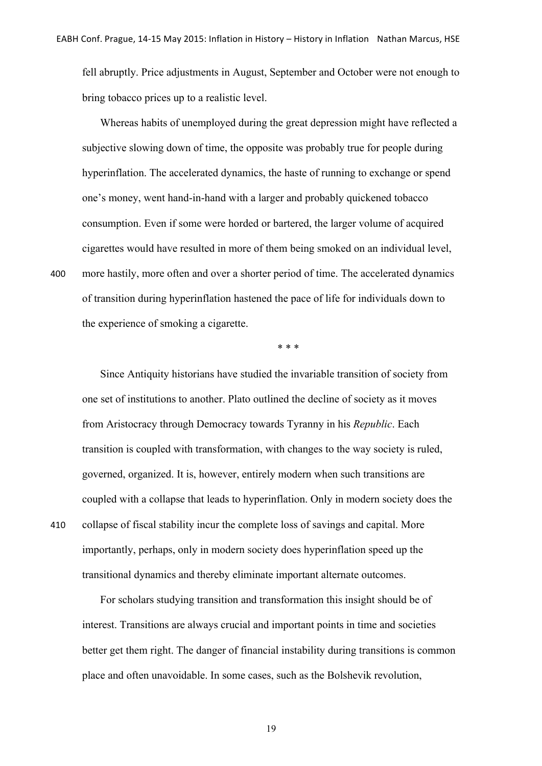fell abruptly. Price adjustments in August, September and October were not enough to bring tobacco prices up to a realistic level.

Whereas habits of unemployed during the great depression might have reflected a subjective slowing down of time, the opposite was probably true for people during hyperinflation. The accelerated dynamics, the haste of running to exchange or spend one's money, went hand-in-hand with a larger and probably quickened tobacco consumption. Even if some were horded or bartered, the larger volume of acquired cigarettes would have resulted in more of them being smoked on an individual level, 400 more hastily, more often and over a shorter period of time. The accelerated dynamics of transition during hyperinflation hastened the pace of life for individuals down to the experience of smoking a cigarette.

\* \* \*

Since Antiquity historians have studied the invariable transition of society from one set of institutions to another. Plato outlined the decline of society as it moves from Aristocracy through Democracy towards Tyranny in his *Republic*. Each transition is coupled with transformation, with changes to the way society is ruled, governed, organized. It is, however, entirely modern when such transitions are coupled with a collapse that leads to hyperinflation. Only in modern society does the 410 collapse of fiscal stability incur the complete loss of savings and capital. More importantly, perhaps, only in modern society does hyperinflation speed up the transitional dynamics and thereby eliminate important alternate outcomes.

For scholars studying transition and transformation this insight should be of interest. Transitions are always crucial and important points in time and societies better get them right. The danger of financial instability during transitions is common place and often unavoidable. In some cases, such as the Bolshevik revolution,